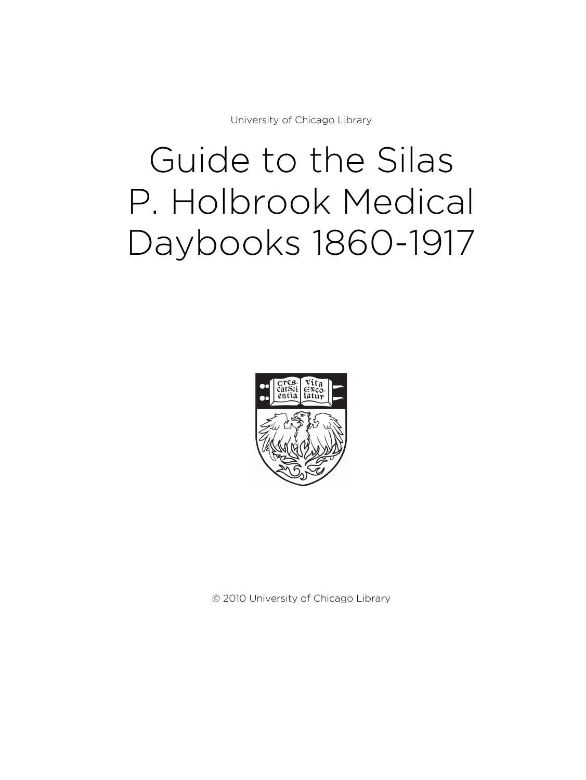University of Chicago Library

# Guide to the Silas P. Holbrook Medical Daybooks 1860-1917



© 2010 University of Chicago Library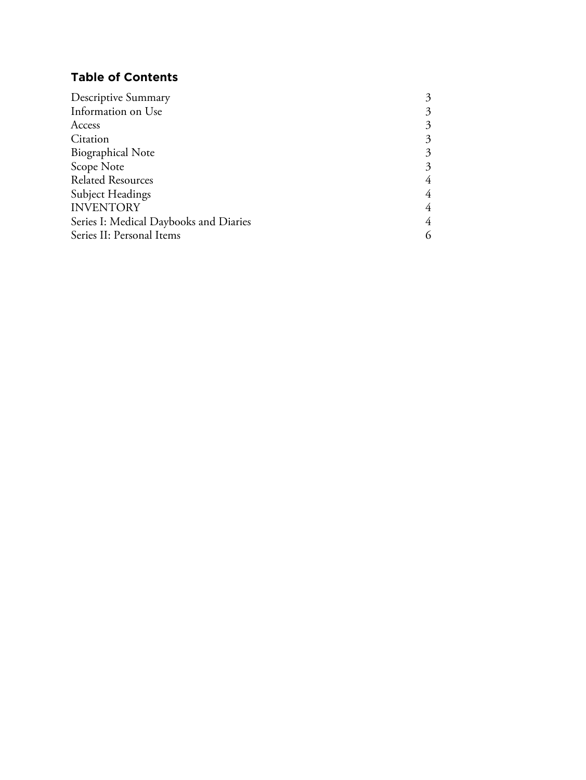# **Table of Contents**

| <b>Descriptive Summary</b>             | 3              |
|----------------------------------------|----------------|
| Information on Use                     | 3              |
| Access                                 | 3              |
| Citation                               | 3              |
| <b>Biographical Note</b>               | 3              |
| Scope Note                             | 3              |
| <b>Related Resources</b>               | 4              |
| Subject Headings                       | 4              |
| <b>INVENTORY</b>                       | 4              |
| Series I: Medical Daybooks and Diaries | $\overline{4}$ |
| Series II: Personal Items              | 6              |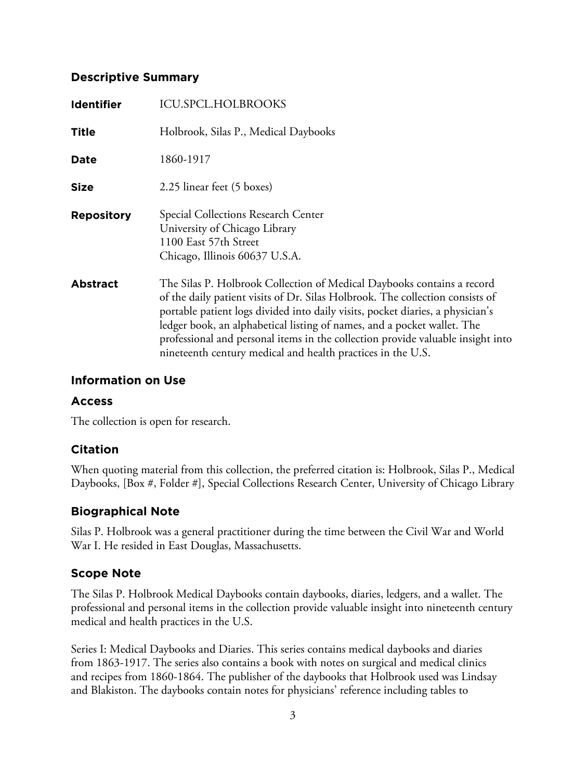## **Descriptive Summary**

| <b>Identifier</b> | <b>ICU.SPCL.HOLBROOKS</b>                                                                                                                                                                                                                                                                                                                                                                                                                                              |
|-------------------|------------------------------------------------------------------------------------------------------------------------------------------------------------------------------------------------------------------------------------------------------------------------------------------------------------------------------------------------------------------------------------------------------------------------------------------------------------------------|
| <b>Title</b>      | Holbrook, Silas P., Medical Daybooks                                                                                                                                                                                                                                                                                                                                                                                                                                   |
| Date              | 1860-1917                                                                                                                                                                                                                                                                                                                                                                                                                                                              |
| <b>Size</b>       | 2.25 linear feet (5 boxes)                                                                                                                                                                                                                                                                                                                                                                                                                                             |
| <b>Repository</b> | Special Collections Research Center<br>University of Chicago Library<br>1100 East 57th Street<br>Chicago, Illinois 60637 U.S.A.                                                                                                                                                                                                                                                                                                                                        |
| <b>Abstract</b>   | The Silas P. Holbrook Collection of Medical Daybooks contains a record<br>of the daily patient visits of Dr. Silas Holbrook. The collection consists of<br>portable patient logs divided into daily visits, pocket diaries, a physician's<br>ledger book, an alphabetical listing of names, and a pocket wallet. The<br>professional and personal items in the collection provide valuable insight into<br>nineteenth century medical and health practices in the U.S. |

## **Information on Use**

## **Access**

The collection is open for research.

## **Citation**

When quoting material from this collection, the preferred citation is: Holbrook, Silas P., Medical Daybooks, [Box #, Folder #], Special Collections Research Center, University of Chicago Library

## **Biographical Note**

Silas P. Holbrook was a general practitioner during the time between the Civil War and World War I. He resided in East Douglas, Massachusetts.

## **Scope Note**

The Silas P. Holbrook Medical Daybooks contain daybooks, diaries, ledgers, and a wallet. The professional and personal items in the collection provide valuable insight into nineteenth century medical and health practices in the U.S.

Series I: Medical Daybooks and Diaries. This series contains medical daybooks and diaries from 1863-1917. The series also contains a book with notes on surgical and medical clinics and recipes from 1860-1864. The publisher of the daybooks that Holbrook used was Lindsay and Blakiston. The daybooks contain notes for physicians' reference including tables to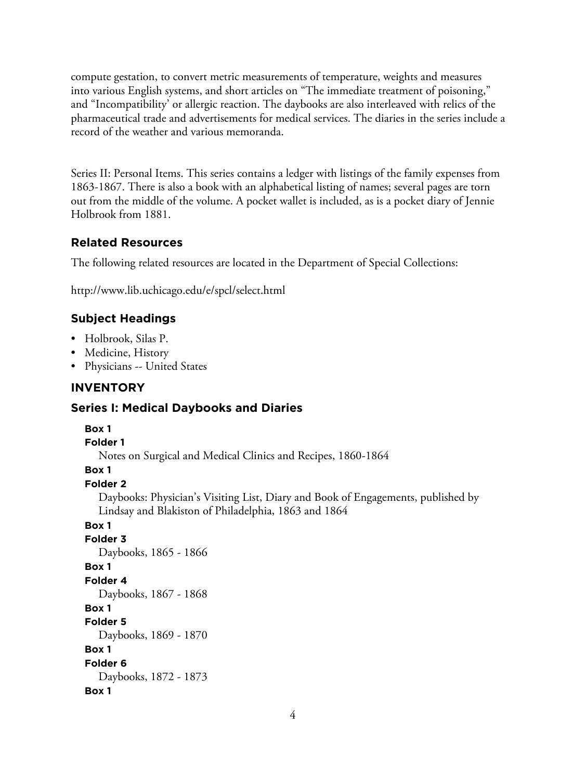compute gestation, to convert metric measurements of temperature, weights and measures into various English systems, and short articles on "The immediate treatment of poisoning," and "Incompatibility' or allergic reaction. The daybooks are also interleaved with relics of the pharmaceutical trade and advertisements for medical services. The diaries in the series include a record of the weather and various memoranda.

Series II: Personal Items. This series contains a ledger with listings of the family expenses from 1863-1867. There is also a book with an alphabetical listing of names; several pages are torn out from the middle of the volume. A pocket wallet is included, as is a pocket diary of Jennie Holbrook from 1881.

# **Related Resources**

The following related resources are located in the Department of Special Collections:

http://www.lib.uchicago.edu/e/spcl/select.html

# **Subject Headings**

- Holbrook, Silas P.
- Medicine, History
- Physicians -- United States

# **INVENTORY**

## **Series I: Medical Daybooks and Diaries**

## **Box 1**

**Folder 1**

Notes on Surgical and Medical Clinics and Recipes, 1860-1864

## **Box 1**

## **Folder 2**

Daybooks: Physician's Visiting List, Diary and Book of Engagements, published by Lindsay and Blakiston of Philadelphia, 1863 and 1864

# **Box 1**

**Folder 3** Daybooks, 1865 - 1866 **Box 1 Folder 4** Daybooks, 1867 - 1868 **Box 1 Folder 5** Daybooks, 1869 - 1870 **Box 1 Folder 6** Daybooks, 1872 - 1873 **Box 1**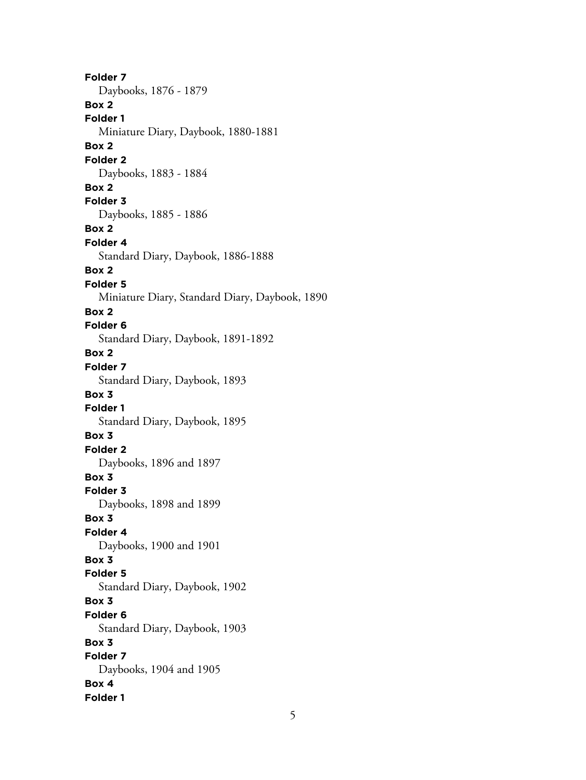**Folder 7** Daybooks, 1876 - 1879 **Box 2 Folder 1** Miniature Diary, Daybook, 1880-1881 **Box 2 Folder 2** Daybooks, 1883 - 1884 **Box 2 Folder 3** Daybooks, 1885 - 1886 **Box 2 Folder 4** Standard Diary, Daybook, 1886-1888 **Box 2 Folder 5** Miniature Diary, Standard Diary, Daybook, 1890 **Box 2 Folder 6** Standard Diary, Daybook, 1891-1892 **Box 2 Folder 7** Standard Diary, Daybook, 1893 **Box 3 Folder 1** Standard Diary, Daybook, 1895 **Box 3 Folder 2** Daybooks, 1896 and 1897 **Box 3 Folder 3** Daybooks, 1898 and 1899 **Box 3 Folder 4** Daybooks, 1900 and 1901 **Box 3 Folder 5** Standard Diary, Daybook, 1902 **Box 3 Folder 6** Standard Diary, Daybook, 1903 **Box 3 Folder 7** Daybooks, 1904 and 1905 **Box 4 Folder 1**